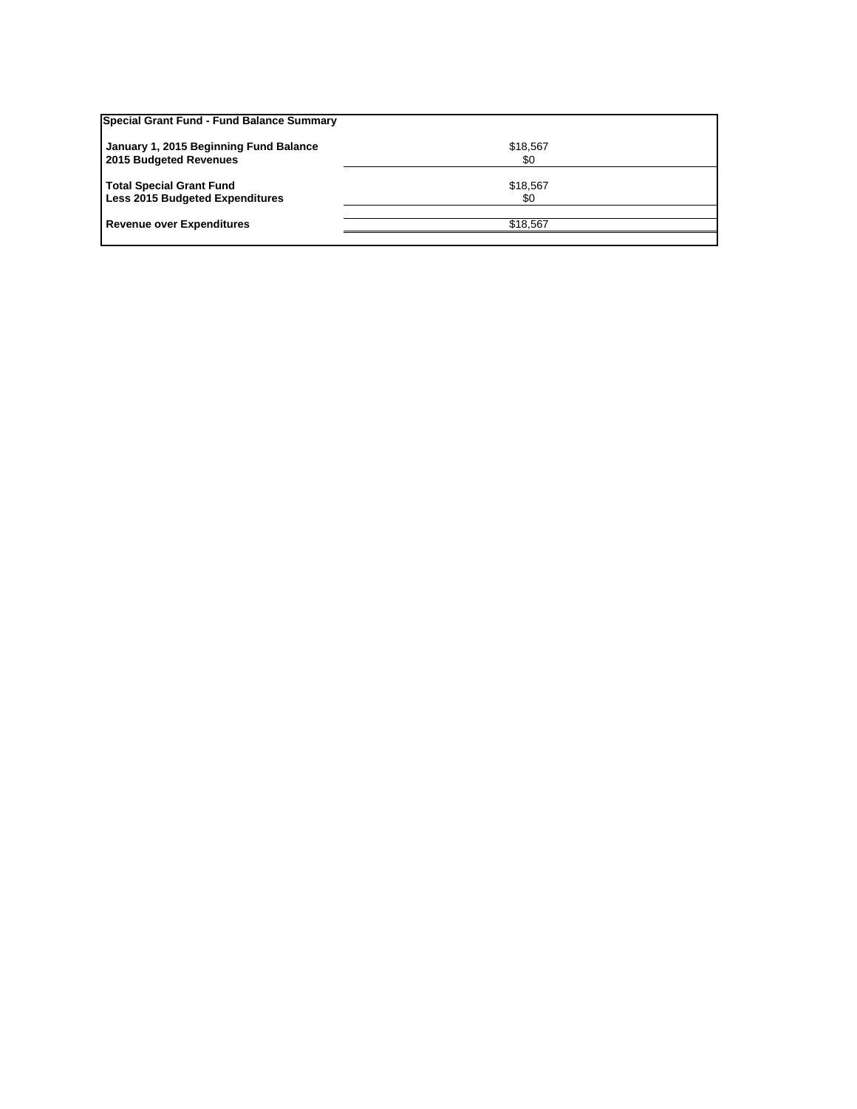| Special Grant Fund - Fund Balance Summary                                 |                 |  |
|---------------------------------------------------------------------------|-----------------|--|
| January 1, 2015 Beginning Fund Balance<br>2015 Budgeted Revenues          | \$18,567<br>\$0 |  |
| <b>Total Special Grant Fund</b><br><b>Less 2015 Budgeted Expenditures</b> | \$18,567<br>\$0 |  |
| <b>Revenue over Expenditures</b>                                          | \$18,567        |  |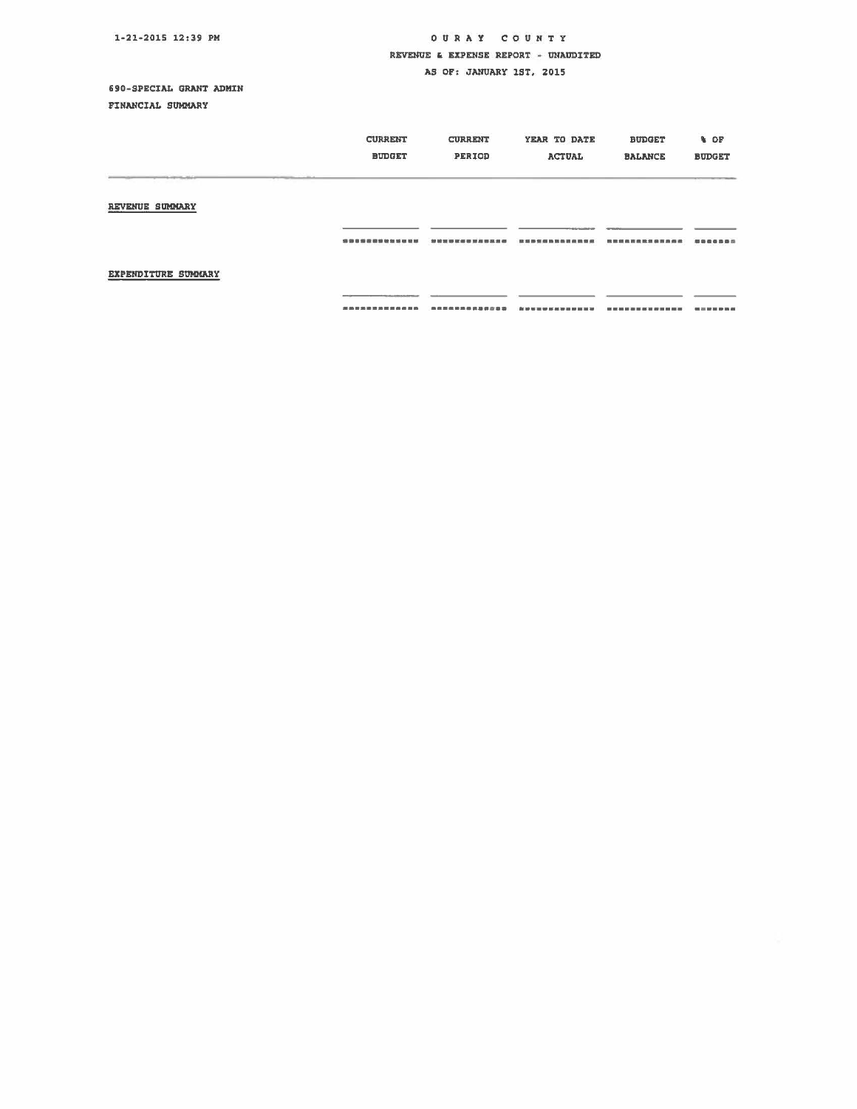## OUR A Y COUNTY REVENUE & EXPENSE REPORT - UNAUDITED

AS OF: JANUARY 1ST. 2015

## 690-SPECIAL GRANT ADMIN

FINANCIAL SUMMARY

|                     | <b>CURRENT</b><br><b>BUDGET</b> | <b>CURRENT</b><br>PERIOD | YEAR TO DATE<br><b>ACTUAL</b> | <b>BUDGET</b><br><b>BALANCE</b> | % OF<br><b>BUDGET</b> |
|---------------------|---------------------------------|--------------------------|-------------------------------|---------------------------------|-----------------------|
| REVENUE SUMMARY     |                                 |                          |                               |                                 |                       |
| EXPENDITURE SUMMARY | 清清日常成熟培育加班研究社                   |                          |                               | 日数恶邪病百生身痛                       | <b>最適能重要量</b> 2       |
|                     | --------------                  |                          | <b>Bar mit</b>                |                                 |                       |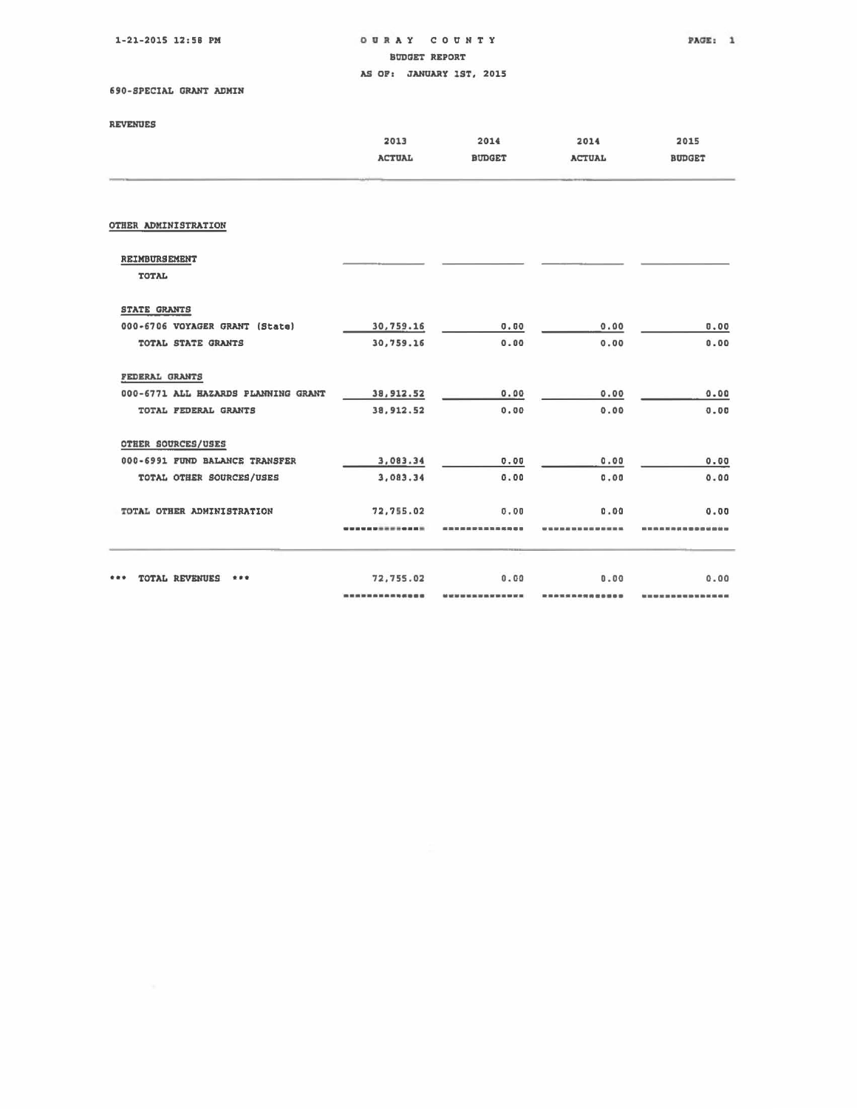1·21·2015 12:58 PM

OURAY COUNTY PAGE: 1

BODDET REPORT

AS OP, JANUARY 1ST, 2015

## 690-SPECIAL GRANT ADMIN

|  | <b>REVENUES</b> |  |
|--|-----------------|--|
|  |                 |  |

| REVENUES                            |               |               |               |                   |
|-------------------------------------|---------------|---------------|---------------|-------------------|
|                                     | 2013          | 2014          | 2014          | 2015              |
|                                     | <b>ACTUAL</b> | <b>BUDGET</b> | <b>ACTUAL</b> | <b>BUDGET</b>     |
|                                     |               |               |               |                   |
|                                     |               |               |               |                   |
| OTHER ADMINISTRATION                |               |               |               |                   |
| REIMBURSEMENT                       |               |               |               |                   |
| <b>TOTAL</b>                        |               |               |               |                   |
| <b>STATE GRANTS</b>                 |               |               |               |                   |
| 000-6706 VOYAGER GRANT (State)      | 30,759.16     | 0.00          | 0.00          | 0.00              |
| TOTAL STATE GRANTS                  | 30,759.16     | 0.00          | 0.00          | 0.00              |
| FEDERAL GRANTS                      |               |               |               |                   |
| 000-6771 ALL HAZARDS PLANNING GRANT | 38, 912.52    | 0.00          | 0.00          | 0.00              |
| TOTAL FEDERAL GRANTS                | 38, 912.52    | 0.00          | 0.00          | 0.00              |
| OTHER SOURCES/USES                  |               |               |               |                   |
| 000-6991 FUND BALANCE TRANSFER      | 3,083.34      | 0.00          | 0.00          | 0.00              |
| TOTAL OTHER SOURCES/USES            | 3,083.34      | 0.00          | 0.00          | 0.00              |
| TOTAL OTHER ADMINISTRATION          | 72,755.02     | 0.00          | 0.00          | 0.00              |
|                                     |               |               |               | <b>00 00 00 m</b> |
|                                     |               |               |               |                   |
| TOTAL REVENUES<br>***               | 72,755.02     | 0.00          | 0.00          | 0.00              |
|                                     |               |               |               |                   |